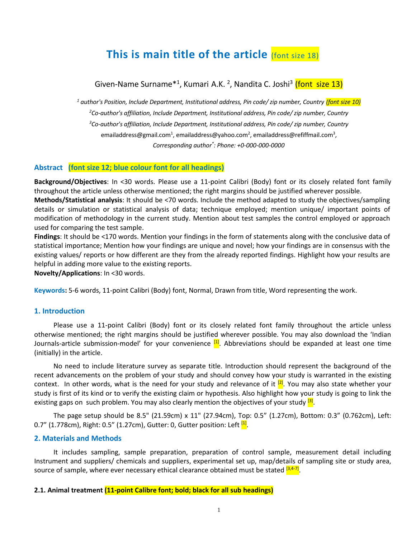# **This is main title of the article (font size 18)**

# Given-Name Surname\*<sup>1</sup>, Kumari A.K. <sup>2</sup>, Nandita C. Joshi<sup>3</sup> (font size 13)

*<sup>1</sup> author's Position, Include Department, Institutional address, Pin code/ zip number, Country (font size 10) <sup>2</sup>Co-author's affiliation, Include Department, Institutional address, Pin code/ zip number, Country <sup>3</sup>Co-author's affiliation, Include Department, Institutional address, Pin code/ zip number, Country* emailaddress@gmail.com<sup>1</sup>, emailaddress@yahoo.com<sup>2</sup>, emailaddress@refiffmail.com<sup>3</sup>, *Corresponding author\* : Phone: +0-000-000-0000*

#### **Abstract (font size 12; blue colour font for all headings)**

**Background/Objectives**: In <30 words. Please use a 11-point Calibri (Body) font or its closely related font family throughout the article unless otherwise mentioned; the right margins should be justified wherever possible.

**Methods/Statistical analysis**: It should be <70 words. Include the method adapted to study the objectives/sampling details or simulation or statistical analysis of data; technique employed; mention unique/ important points of modification of methodology in the current study. Mention about test samples the control employed or approach used for comparing the test sample.

**Findings**: It should be <170 words. Mention your findings in the form of statements along with the conclusive data of statistical importance; Mention how your findings are unique and novel; how your findings are in consensus with the existing values/ reports or how different are they from the already reported findings. Highlight how your results are helpful in adding more value to the existing reports.

**Novelty/Applications**: In <30 words.

**Keywords:** 5-6 words, 11-point Calibri (Body) font, Normal, Drawn from title, Word representing the work.

# **1. Introduction**

Please use a 11-point Calibri (Body) font or its closely related font family throughout the article unless otherwise mentioned; the right margins should be justified wherever possible. You may also download the 'Indian Journals-article submission-model' for your convenience <sup>[1]</sup>. Abbreviations should be expanded at least one time (initially) in the article.

No need to include literature survey as separate title. Introduction should represent the background of the recent advancements on the problem of your study and should convey how your study is warranted in the existing context. In other words, what is the need for your study and relevance of it  $^{[2]}$ . You may also state whether your study is first of its kind or to verify the existing claim or hypothesis. Also highlight how your study is going to link the existing gaps on such problem. You may also clearly mention the objectives of your study <mark>[3]</mark>.

The page setup should be 8.5" (21.59cm) x 11" (27.94cm), Top: 0.5" (1.27cm), Bottom: 0.3" (0.762cm), Left: 0.7" (1.778cm), Right: 0.5" (1.27cm), Gutter: 0, Gutter position: Left <mark>[1]</mark>.

#### **2. Materials and Methods**

It includes sampling, sample preparation, preparation of control sample, measurement detail including Instrument and suppliers/ chemicals and suppliers, experimental set up, map/details of sampling site or study area, source of sample, where ever necessary ethical clearance obtained must be stated <sup>[3,4-7]</sup>.

#### **2.1. Animal treatment (11-point Calibre font; bold; black for all sub headings)**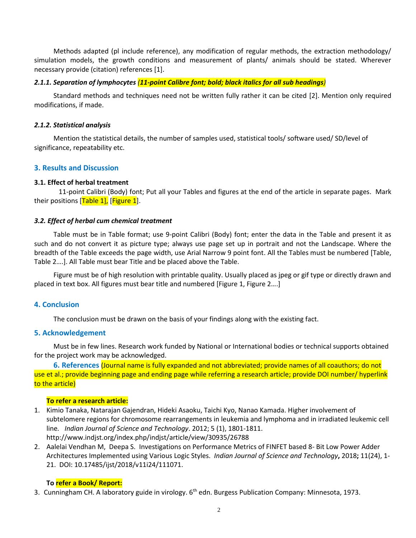Methods adapted (pl include reference), any modification of regular methods, the extraction methodology/ simulation models, the growth conditions and measurement of plants/ animals should be stated. Wherever necessary provide (citation) references [1].

#### *2.1.1. Separation of lymphocytes (11-point Calibre font; bold; black italics for all sub headings)*

Standard methods and techniques need not be written fully rather it can be cited [2]. Mention only required modifications, if made.

# *2.1.2. Statistical analysis*

Mention the statistical details, the number of samples used, statistical tools/ software used/ SD/level of significance, repeatability etc.

# **3. Results and Discussion**

# **3.1. Effect of herbal treatment**

11-point Calibri (Body) font; Put all your Tables and figures at the end of the article in separate pages. Mark their positions  $[Table 1]$ ,  $[Figure 1]$ .

#### *3.2. Effect of herbal cum chemical treatment*

Table must be in Table format; use 9-point Calibri (Body) font; enter the data in the Table and present it as such and do not convert it as picture type; always use page set up in portrait and not the Landscape. Where the breadth of the Table exceeds the page width, use Arial Narrow 9 point font. All the Tables must be numbered [Table, Table 2….]. All Table must bear Title and be placed above the Table.

Figure must be of high resolution with printable quality. Usually placed as jpeg or gif type or directly drawn and placed in text box. All figures must bear title and numbered [Figure 1, Figure 2….]

# **4. Conclusion**

The conclusion must be drawn on the basis of your findings along with the existing fact.

# **5. Acknowledgement**

Must be in few lines. Research work funded by National or International bodies or technical supports obtained for the project work may be acknowledged.

**6. References** (Journal name is fully expanded and not abbreviated; provide names of all coauthors; do not use et al.; provide beginning page and ending page while referring a research article; provide DOI number/ hyperlink to the article)

# **To refer a research article:**

- 1. Kimio Tanaka, Natarajan Gajendran, Hideki Asaoku, Taichi Kyo, Nanao Kamada. Higher involvement of subtelomere regions for chromosome rearrangements in leukemia and lymphoma and in irradiated leukemic cell line*. Indian Journal of Science and Technology*. 2012; 5 (1), 1801-1811. http://www.indjst.org/index.php/indjst/article/view/30935/26788
- 2. Aalelai Vendhan M, Deepa S. Investigations on Performance Metrics of FINFET based 8- Bit Low Power Adder Architectures Implemented using Various Logic Styles. *Indian Journal of Science and Technology***,** 2018**;** 11(24), 1- 21. DOI: 10.17485/ijst/2018/v11i24/111071.

# **To refer a Book/ Report:**

3. Cunningham CH. A laboratory guide in virology. 6<sup>th</sup> edn. Burgess Publication Company: Minnesota, 1973.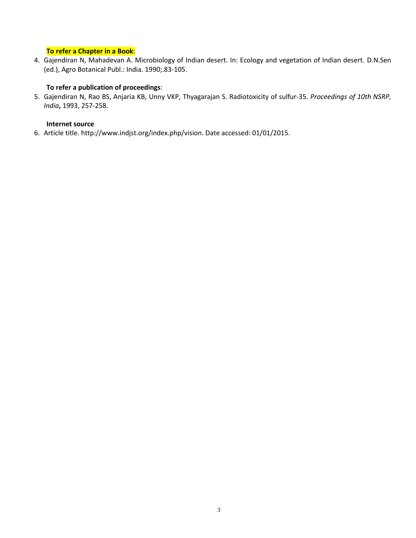# **To refer a Chapter in a Book**:

4. Gajendiran N, Mahadevan A. Microbiology of Indian desert. In: Ecology and vegetation of Indian desert. D.N.Sen (ed.), Agro Botanical Publ.: India. 1990;.83-105.

# **To refer a publication of proceedings**:

5. Gajendiran N, Rao BS, Anjaria KB, Unny VKP, Thyagarajan S. Radiotoxicity of sulfur-35. *Proceedings of 10th NSRP, India***,** 1993, 257-258.

# **Internet source**

6. Article title. http://www.indjst.org/index.php/vision. Date accessed: 01/01/2015.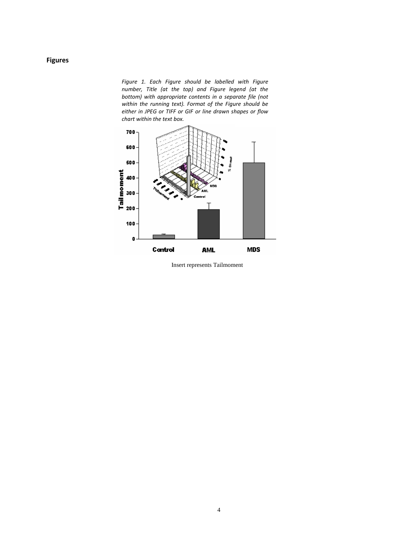# **Figures**

*Figure 1. Each Figure should be labelled with Figure number, Title (at the top) and Figure legend (at the bottom) with appropriate contents in a separate file (not within the running text). Format of the Figure should be either in JPEG or TIFF or GIF or line drawn shapes or flow chart within the text box.* 



Insert represents Tailmoment